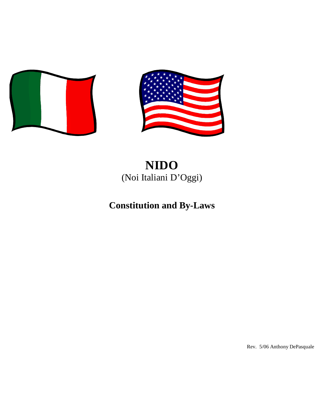



# **NIDO** (Noi Italiani D'Oggi)

# **Constitution and By-Laws**

Rev. 5/06 Anthony DePasquale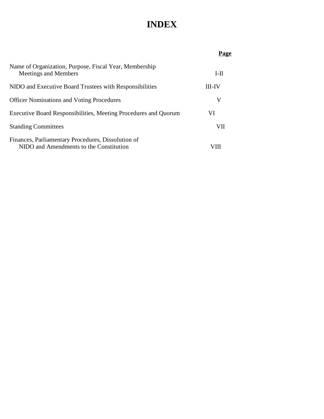# **INDEX**

|                                                                                               | Page   |
|-----------------------------------------------------------------------------------------------|--------|
| Name of Organization, Purpose, Fiscal Year, Membership<br>Meetings and Members                | $I-II$ |
| NIDO and Executive Board Trustees with Responsibilities                                       | III-IV |
| <b>Officer Nominations and Voting Procedures</b>                                              | V      |
| Executive Board Responsibilities, Meeting Procedures and Quorum                               | VI     |
| <b>Standing Committees</b>                                                                    | VП     |
| Finances, Parliamentary Procedures, Dissolution of<br>NIDO and Amendments to the Constitution |        |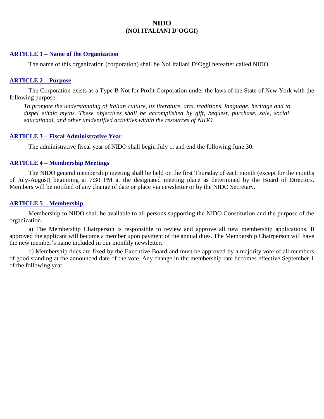# **NIDO (NOI ITALIANI D'OGGI)**

#### **ARTICLE 1 – Name of the Organization**

The name of this organization (corporation) shall be Noi Italiani D'Oggi hereafter called NIDO.

#### **ARTICLE 2 – Purpose**

The Corporation exists as a Type B Not for Profit Corporation under the laws of the State of New York with the following purpose:

*To promote the understanding of Italian culture, its literature, arts, traditions, language, heritage and to dispel ethnic myths. These objectives shall be accomplished by gift, bequest, purchase, sale, social, educational, and other unidentified activities within the resources of NIDO.*

#### **ARTICLE 3 – Fiscal Administrative Year**

The administrative fiscal year of NIDO shall begin July 1, and end the following June 30.

### **ARTICLE 4 – Membership Meetings**

The NIDO general membership meeting shall be held on the first Thursday of each month (except for the months of July-August) beginning at 7:30 PM at the designated meeting place as determined by the Board of Directors. Members will be notified of any change of date or place via newsletter or by the NIDO Secretary.

#### **ARTICLE 5 – Membership**

Membership to NIDO shall be available to all persons supporting the NIDO Constitution and the purpose of the organization.

a) The Membership Chairperson is responsible to review and approve all new membership applications. If approved the applicant will become a member upon payment of the annual dues. The Membership Chairperson will have the new member's name included in our monthly newsletter.

b) Membership dues are fixed by the Executive Board and must be approved by a majority vote of all members of good standing at the announced date of the vote. Any change in the membership rate becomes effective September 1 of the following year.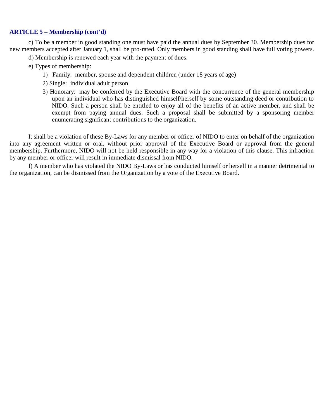# **ARTICLE 5 – Membership (cont'd)**

c) To be a member in good standing one must have paid the annual dues by September 30. Membership dues for new members accepted after January 1, shall be pro-rated. Only members in good standing shall have full voting powers.

- d) Membership is renewed each year with the payment of dues.
- e) Types of membership:
	- 1) Family: member, spouse and dependent children (under 18 years of age)
	- 2) Single: individual adult person
	- 3) Honorary: may be conferred by the Executive Board with the concurrence of the general membership upon an individual who has distinguished himself/herself by some outstanding deed or contribution to NIDO. Such a person shall be entitled to enjoy all of the benefits of an active member, and shall be exempt from paying annual dues. Such a proposal shall be submitted by a sponsoring member enumerating significant contributions to the organization.

It shall be a violation of these By-Laws for any member or officer of NIDO to enter on behalf of the organization into any agreement written or oral, without prior approval of the Executive Board or approval from the general membership. Furthermore, NIDO will not be held responsible in any way for a violation of this clause. This infraction by any member or officer will result in immediate dismissal from NIDO.

f) A member who has violated the NIDO By-Laws or has conducted himself or herself in a manner detrimental to the organization, can be dismissed from the Organization by a vote of the Executive Board.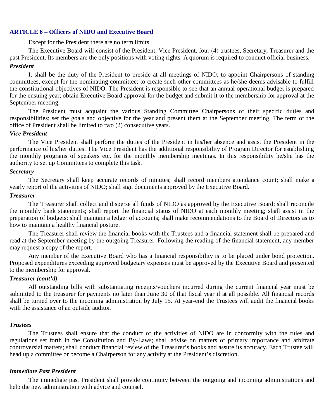#### **ARTICLE 6 – Officers of NIDO and Executive Board**

Except for the President there are no term limits.

The Executive Board will consist of the President, Vice President, four (4) trustees, Secretary, Treasurer and the past President. Its members are the only positions with voting rights. A quorum is required to conduct official business.

#### *President*

It shall be the duty of the President to preside at all meetings of NIDO; to appoint Chairpersons of standing committees, except for the nominating committee; to create such other committees as he/she deems advisable to fulfill the constitutional objectives of NIDO. The President is responsible to see that an annual operational budget is prepared for the ensuing year; obtain Executive Board approval for the budget and submit it to the membership for approval at the September meeting.

The President must acquaint the various Standing Committee Chairpersons of their specific duties and responsibilities; set the goals and objective for the year and present them at the September meeting. The term of the office of President shall be limited to two (2) consecutive years.

### *Vice President*

The Vice President shall perform the duties of the President in his/her absence and assist the President in the performance of his/her duties. The Vice President has the additional responsibility of Program Director for establishing the monthly programs of speakers etc. for the monthly membership meetings. In this responsibility he/she has the authority to set up Committees to complete this task.

#### *Secretary*

The Secretary shall keep accurate records of minutes; shall record members attendance count; shall make a yearly report of the activities of NIDO; shall sign documents approved by the Executive Board.

#### *Treasurer*

The Treasurer shall collect and disperse all funds of NIDO as approved by the Executive Board; shall reconcile the monthly bank statements; shall report the financial status of NIDO at each monthly meeting; shall assist in the preparation of budgets; shall maintain a ledger of accounts; shall make recommendations to the Board of Directors as to how to maintain a healthy financial posture.

The Treasurer shall review the financial books with the Trustees and a financial statement shall be prepared and read at the September meeting by the outgoing Treasurer. Following the reading of the financial statement, any member may request a copy of the report.

Any member of the Executive Board who has a financial responsibility is to be placed under bond protection. Proposed expenditures exceeding approved budgetary expenses must be approved by the Executive Board and presented to the membership for approval.

#### *Treasurer (cont'd)*

All outstanding bills with substantiating receipts/vouchers incurred during the current financial year must be submitted to the treasurer for payments no later than June 30 of that fiscal year if at all possible. All financial records shall be turned over to the incoming administration by July 15. At year-end the Trustees will audit the financial books with the assistance of an outside auditor.

#### *Trustees*

The Trustees shall ensure that the conduct of the activities of NIDO are in conformity with the rules and regulations set forth in the Constitution and By-Laws; shall advise on matters of primary importance and arbitrate controversial matters; shall conduct financial review of the Treasurer's books and assure its accuracy. Each Trustee will head up a committee or become a Chairperson for any activity at the President's discretion.

#### *Immediate Past President*

The immediate past President shall provide continuity between the outgoing and incoming administrations and help the new administration with advice and counsel.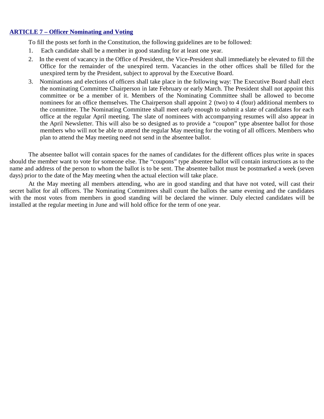# **ARTICLE 7 – Officer Nominating and Voting**

To fill the posts set forth in the Constitution, the following guidelines are to be followed:

- 1. Each candidate shall be a member in good standing for at least one year.
- 2. In the event of vacancy in the Office of President, the Vice-President shall immediately be elevated to fill the Office for the remainder of the unexpired term. Vacancies in the other offices shall be filled for the unexpired term by the President, subject to approval by the Executive Board.
- 3. Nominations and elections of officers shall take place in the following way: The Executive Board shall elect the nominating Committee Chairperson in late February or early March. The President shall not appoint this committee or be a member of it. Members of the Nominating Committee shall be allowed to become nominees for an office themselves. The Chairperson shall appoint 2 (two) to 4 (four) additional members to the committee. The Nominating Committee shall meet early enough to submit a slate of candidates for each office at the regular April meeting. The slate of nominees with accompanying resumes will also appear in the April Newsletter. This will also be so designed as to provide a "coupon" type absentee ballot for those members who will not be able to attend the regular May meeting for the voting of all officers. Members who plan to attend the May meeting need not send in the absentee ballot.

The absentee ballot will contain spaces for the names of candidates for the different offices plus write in spaces should the member want to vote for someone else. The "coupons" type absentee ballot will contain instructions as to the name and address of the person to whom the ballot is to be sent. The absentee ballot must be postmarked a week (seven days) prior to the date of the May meeting when the actual election will take place.

At the May meeting all members attending, who are in good standing and that have not voted, will cast their secret ballot for all officers. The Nominating Committees shall count the ballots the same evening and the candidates with the most votes from members in good standing will be declared the winner. Duly elected candidates will be installed at the regular meeting in June and will hold office for the term of one year.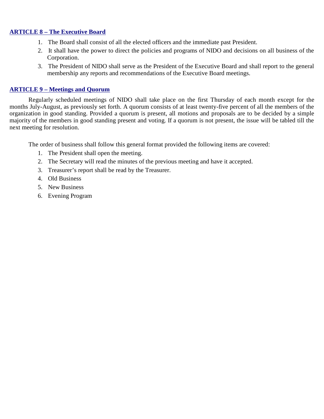# **ARTICLE 8 – The Executive Board**

- 1. The Board shall consist of all the elected officers and the immediate past President.
- 2. It shall have the power to direct the policies and programs of NIDO and decisions on all business of the Corporation.
- 3. The President of NIDO shall serve as the President of the Executive Board and shall report to the general membership any reports and recommendations of the Executive Board meetings.

# **ARTICLE 9 – Meetings and Quorum**

Regularly scheduled meetings of NIDO shall take place on the first Thursday of each month except for the months July-August, as previously set forth. A quorum consists of at least twenty-five percent of all the members of the organization in good standing. Provided a quorum is present, all motions and proposals are to be decided by a simple majority of the members in good standing present and voting. If a quorum is not present, the issue will be tabled till the next meeting for resolution.

The order of business shall follow this general format provided the following items are covered:

- 1. The President shall open the meeting.
- 2. The Secretary will read the minutes of the previous meeting and have it accepted.
- 3. Treasurer's report shall be read by the Treasurer.
- 4. Old Business
- 5. New Business
- 6. Evening Program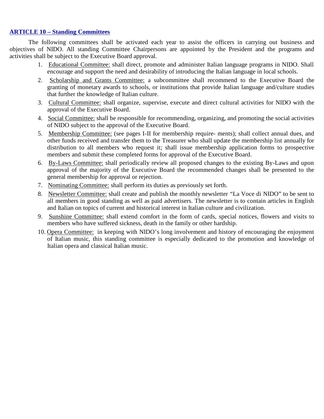# **ARTICLE 10 – Standing Committees**

The following committees shall be activated each year to assist the officers in carrying out business and objectives of NIDO. All standing Committee Chairpersons are appointed by the President and the programs and activities shall be subject to the Executive Board approval.

- 1. Educational Committee: shall direct, promote and administer Italian language programs in NIDO. Shall encourage and support the need and desirability of introducing the Italian language in local schools.
- 2. Scholarship and Grants Committee: a subcommittee shall recommend to the Executive Board the granting of monetary awards to schools, or institutions that provide Italian language and/culture studies that further the knowledge of Italian culture.
- 3. Cultural Committee: shall organize, supervise, execute and direct cultural activities for NIDO with the approval of the Executive Board.
- 4. Social Committee: shall be responsible for recommending, organizing, and promoting the social activities of NIDO subject to the approval of the Executive Board.
- 5. Membership Committee: (see pages I-II for membership require- ments); shall collect annual dues, and other funds received and transfer them to the Treasurer who shall update the membership list annually for distribution to all members who request it; shall issue membership application forms to prospective members and submit these completed forms for approval of the Executive Board.
- 6. By-Laws Committee: shall periodically review all proposed changes to the existing By-Laws and upon approval of the majority of the Executive Board the recommended changes shall be presented to the general membership for approval or rejection.
- 7. Nominating Committee: shall perform its duties as previously set forth.
- 8. Newsletter Committee: shall create and publish the monthly newsletter "La Voce di NIDO" to be sent to all members in good standing as well as paid advertisers. The newsletter is to contain articles in English and Italian on topics of current and historical interest in Italian culture and civilization.
- 9. Sunshine Committee: shall extend comfort in the form of cards, special notices, flowers and visits to members who have suffered sickness, death in the family or other hardship.
- 10. Opera Committee: in keeping with NIDO's long involvement and history of encouraging the enjoyment of Italian music, this standing committee is especially dedicated to the promotion and knowledge of Italian opera and classical Italian music.